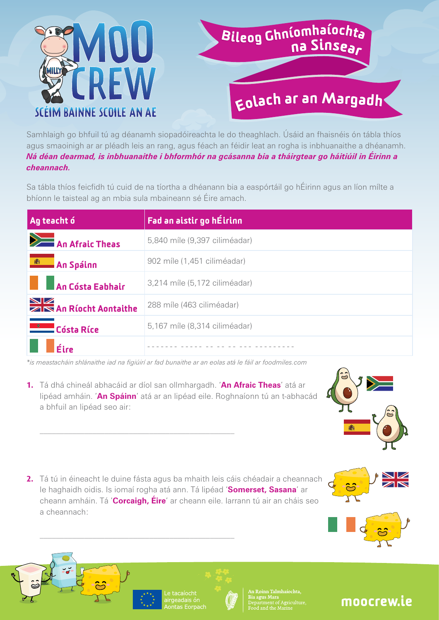

## Bileog Ghníomhaíochta<br>na Sinsea<sub>r</sub>

## <sub>Eolach</sub> ar an Margadh

Samhlaigh go bhfuil tú ag déanamh siopadóireachta le do theaghlach. Úsáid an fhaisnéis ón tábla thíos agus smaoinigh ar ar pléadh leis an rang, agus féach an féidir leat an rogha is inbhuanaithe a dhéanamh. *Ná déan dearmad, is inbhuanaithe i bhformhór na gcásanna bia a tháirgtear go háitiúil in Éirinn a cheannach.*

Sa tábla thíos feicfidh tú cuid de na tíortha a dhéanann bia a easpórtáil go hÉirinn agus an líon mílte a bhíonn le taisteal ag an mbia sula mbaineann sé Éire amach.

| Ag teacht ó                    | Fad an aistir go hÉirinn      |
|--------------------------------|-------------------------------|
| $\sum$ An Afraic Theas         | 5,840 míle (9,397 ciliméadar) |
| <b>An Spáinn</b>               | 902 míle (1,451 ciliméadar)   |
| <b>An Cósta Eabhair</b>        | 3,214 míle (5,172 ciliméadar) |
| <b>NEW An Ríocht Aontaithe</b> | 288 míle (463 ciliméadar)     |
| <b>Cósta Ríce</b>              | 5,167 míle (8,314 ciliméadar) |
| $\blacksquare$ Éire            |                               |

*\*is meastacháin shlánaithe iad na figiúirí ar fad bunaithe ar an eolas atá le fáil ar foodmiles.com*

**1.**  Tá dhá chineál abhacáid ar díol san ollmhargadh. '**An Afraic Theas**' atá ar lipéad amháin. '**An Spáinn**' atá ar an lipéad eile. Roghnaíonn tú an t-abhacád a bhfuil an lipéad seo air:



**2.** Tá tú in éineacht le duine fásta agus ba mhaith leis cáis chéadair a cheannach le haghaidh oidis. Is iomaí rogha atá ann. Tá lipéad '**Somerset, Sasana**' ar cheann amháin. Tá '**Corcaigh, Éire**' ar cheann eile. Iarrann tú air an cháis seo a cheannach:









Roinn Talmhaíochta